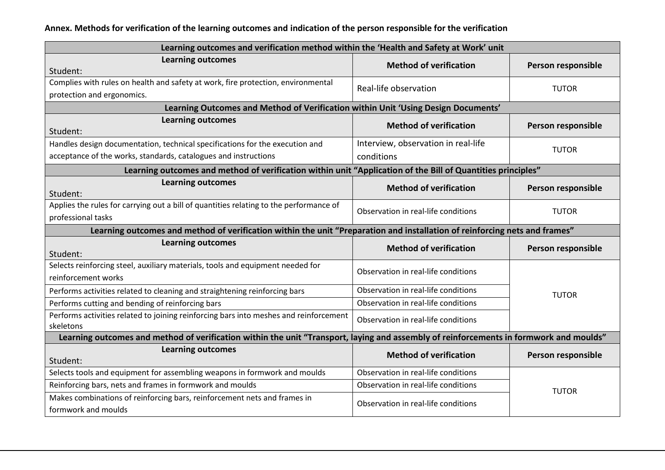| Learning outcomes and verification method within the 'Health and Safety at Work' unit                                                  |                                                                                   |                    |  |  |
|----------------------------------------------------------------------------------------------------------------------------------------|-----------------------------------------------------------------------------------|--------------------|--|--|
| <b>Learning outcomes</b><br>Student:                                                                                                   | <b>Method of verification</b>                                                     | Person responsible |  |  |
| Complies with rules on health and safety at work, fire protection, environmental                                                       | Real-life observation                                                             | <b>TUTOR</b>       |  |  |
| protection and ergonomics.                                                                                                             |                                                                                   |                    |  |  |
|                                                                                                                                        | Learning Outcomes and Method of Verification within Unit 'Using Design Documents' |                    |  |  |
| <b>Learning outcomes</b><br>Student:                                                                                                   | <b>Method of verification</b>                                                     | Person responsible |  |  |
| Handles design documentation, technical specifications for the execution and                                                           | Interview, observation in real-life                                               |                    |  |  |
| acceptance of the works, standards, catalogues and instructions                                                                        | conditions                                                                        | <b>TUTOR</b>       |  |  |
| Learning outcomes and method of verification within unit "Application of the Bill of Quantities principles"                            |                                                                                   |                    |  |  |
| <b>Learning outcomes</b><br>Student:                                                                                                   | <b>Method of verification</b>                                                     | Person responsible |  |  |
| Applies the rules for carrying out a bill of quantities relating to the performance of<br>professional tasks                           | Observation in real-life conditions                                               | <b>TUTOR</b>       |  |  |
| Learning outcomes and method of verification within the unit "Preparation and installation of reinforcing nets and frames"             |                                                                                   |                    |  |  |
| <b>Learning outcomes</b><br>Student:                                                                                                   | <b>Method of verification</b>                                                     | Person responsible |  |  |
| Selects reinforcing steel, auxiliary materials, tools and equipment needed for<br>reinforcement works                                  | Observation in real-life conditions                                               | <b>TUTOR</b>       |  |  |
| Performs activities related to cleaning and straightening reinforcing bars                                                             | Observation in real-life conditions                                               |                    |  |  |
| Performs cutting and bending of reinforcing bars                                                                                       | Observation in real-life conditions                                               |                    |  |  |
| Performs activities related to joining reinforcing bars into meshes and reinforcement<br>skeletons                                     | Observation in real-life conditions                                               |                    |  |  |
| Learning outcomes and method of verification within the unit "Transport, laying and assembly of reinforcements in formwork and moulds" |                                                                                   |                    |  |  |
| <b>Learning outcomes</b><br>Student:                                                                                                   | <b>Method of verification</b>                                                     | Person responsible |  |  |
| Selects tools and equipment for assembling weapons in formwork and moulds                                                              | Observation in real-life conditions                                               | <b>TUTOR</b>       |  |  |
| Reinforcing bars, nets and frames in formwork and moulds                                                                               | Observation in real-life conditions                                               |                    |  |  |
| Makes combinations of reinforcing bars, reinforcement nets and frames in<br>formwork and moulds                                        | Observation in real-life conditions                                               |                    |  |  |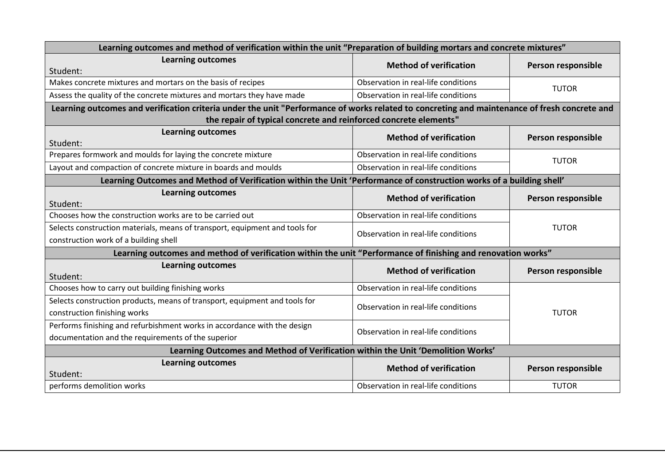| Learning outcomes and method of verification within the unit "Preparation of building mortars and concrete mixtures"                         |                                     |                    |  |
|----------------------------------------------------------------------------------------------------------------------------------------------|-------------------------------------|--------------------|--|
| <b>Learning outcomes</b><br>Student:                                                                                                         | <b>Method of verification</b>       | Person responsible |  |
| Makes concrete mixtures and mortars on the basis of recipes                                                                                  | Observation in real-life conditions | <b>TUTOR</b>       |  |
| Assess the quality of the concrete mixtures and mortars they have made                                                                       | Observation in real-life conditions |                    |  |
| Learning outcomes and verification criteria under the unit "Performance of works related to concreting and maintenance of fresh concrete and |                                     |                    |  |
| the repair of typical concrete and reinforced concrete elements"                                                                             |                                     |                    |  |
| <b>Learning outcomes</b><br>Student:                                                                                                         | <b>Method of verification</b>       | Person responsible |  |
| Prepares formwork and moulds for laying the concrete mixture                                                                                 | Observation in real-life conditions | <b>TUTOR</b>       |  |
| Layout and compaction of concrete mixture in boards and moulds                                                                               | Observation in real-life conditions |                    |  |
| Learning Outcomes and Method of Verification within the Unit 'Performance of construction works of a building shell'                         |                                     |                    |  |
| <b>Learning outcomes</b><br>Student:                                                                                                         | <b>Method of verification</b>       | Person responsible |  |
| Chooses how the construction works are to be carried out                                                                                     | Observation in real-life conditions | <b>TUTOR</b>       |  |
| Selects construction materials, means of transport, equipment and tools for<br>construction work of a building shell                         | Observation in real-life conditions |                    |  |
| Learning outcomes and method of verification within the unit "Performance of finishing and renovation works"                                 |                                     |                    |  |
| <b>Learning outcomes</b><br>Student:                                                                                                         | <b>Method of verification</b>       | Person responsible |  |
| Chooses how to carry out building finishing works                                                                                            | Observation in real-life conditions |                    |  |
| Selects construction products, means of transport, equipment and tools for<br>construction finishing works                                   | Observation in real-life conditions | <b>TUTOR</b>       |  |
| Performs finishing and refurbishment works in accordance with the design<br>documentation and the requirements of the superior               | Observation in real-life conditions |                    |  |
| Learning Outcomes and Method of Verification within the Unit 'Demolition Works'                                                              |                                     |                    |  |
| <b>Learning outcomes</b><br>Student:                                                                                                         | <b>Method of verification</b>       | Person responsible |  |
| performs demolition works                                                                                                                    | Observation in real-life conditions | <b>TUTOR</b>       |  |